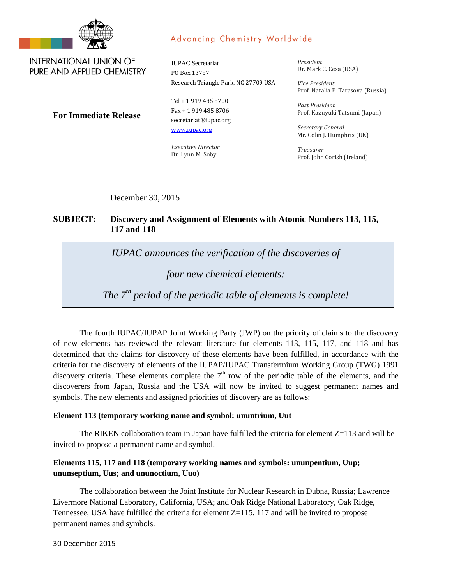

## Advancing Chemistry Worldwide

**INTERNATIONAL UNION OF** PURE AND APPLIED CHEMISTRY

IUPAC Secretariat PO Box 13757 Research Triangle Park, NC 27709 USA

**For Immediate Release**

Tel + 1 919 485 8700 Fax + 1 919 485 8706 secretariat@iupac.org [www.iupac.org](http://www.iupac.org/)

*Executive Director* Dr. Lynn M. Soby

*President* Dr. Mark C. Cesa (USA)

*Vice President* Prof. Natalia P. Tarasova (Russia)

*Past President* Prof. Kazuyuki Tatsumi (Japan)

*Secretary General* Mr. Colin J. Humphris (UK)

*Treasurer* Prof. John Corish (Ireland)

December 30, 2015

## **SUBJECT: Discovery and Assignment of Elements with Atomic Numbers 113, 115, 117 and 118**

*IUPAC announces the verification of the discoveries of* 

*four new chemical elements:* 

*The 7th period of the periodic table of elements is complete!*

The fourth IUPAC/IUPAP Joint Working Party (JWP) on the priority of claims to the discovery of new elements has reviewed the relevant literature for elements 113, 115, 117, and 118 and has determined that the claims for discovery of these elements have been fulfilled, in accordance with the criteria for the discovery of elements of the IUPAP/IUPAC Transfermium Working Group (TWG) 1991 discovery criteria. These elements complete the  $7<sup>th</sup>$  row of the periodic table of the elements, and the discoverers from Japan, Russia and the USA will now be invited to suggest permanent names and symbols. The new elements and assigned priorities of discovery are as follows:

## **Element 113 (temporary working name and symbol: ununtrium, Uut**

The RIKEN collaboration team in Japan have fulfilled the criteria for element  $Z=113$  and will be invited to propose a permanent name and symbol.

## **Elements 115, 117 and 118 (temporary working names and symbols: ununpentium, Uup; ununseptium, Uus; and ununoctium, Uuo)**

The collaboration between the Joint Institute for Nuclear Research in Dubna, Russia; Lawrence Livermore National Laboratory, California, USA; and Oak Ridge National Laboratory, Oak Ridge, Tennessee, USA have fulfilled the criteria for element  $Z=115$ , 117 and will be invited to propose permanent names and symbols.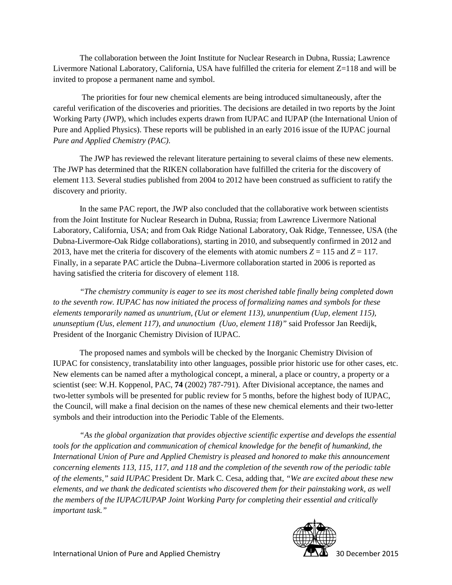The collaboration between the Joint Institute for Nuclear Research in Dubna, Russia; Lawrence Livermore National Laboratory, California, USA have fulfilled the criteria for element Z=118 and will be invited to propose a permanent name and symbol.

The priorities for four new chemical elements are being introduced simultaneously, after the careful verification of the discoveries and priorities. The decisions are detailed in two reports by the Joint Working Party (JWP), which includes experts drawn from IUPAC and IUPAP (the International Union of Pure and Applied Physics). These reports will be published in an early 2016 issue of the IUPAC journal *Pure and Applied Chemistry (PAC)*.

The JWP has reviewed the relevant literature pertaining to several claims of these new elements. The JWP has determined that the RIKEN collaboration have fulfilled the criteria for the discovery of element 113. Several studies published from 2004 to 2012 have been construed as sufficient to ratify the discovery and priority.

In the same PAC report, the JWP also concluded that the collaborative work between scientists from the Joint Institute for Nuclear Research in Dubna, Russia; from Lawrence Livermore National Laboratory, California, USA; and from Oak Ridge National Laboratory, Oak Ridge, Tennessee, USA (the Dubna-Livermore-Oak Ridge collaborations), starting in 2010, and subsequently confirmed in 2012 and 2013, have met the criteria for discovery of the elements with atomic numbers  $Z = 115$  and  $Z = 117$ . Finally, in a separate PAC article the Dubna–Livermore collaboration started in 2006 is reported as having satisfied the criteria for discovery of element 118.

*"The chemistry community is eager to see its most cherished table finally being completed down to the seventh row. IUPAC has now initiated the process of formalizing names and symbols for these elements temporarily named as ununtrium, (Uut or element 113), ununpentium (Uup, element 115), ununseptium (Uus, element 117), and ununoctium (Uuo, element 118)"* said Professor Jan Reedijk, President of the Inorganic Chemistry Division of IUPAC.

The proposed names and symbols will be checked by the Inorganic Chemistry Division of IUPAC for consistency, translatability into other languages, possible prior historic use for other cases, etc. New elements can be named after a mythological concept, a mineral, a place or country, a property or a scientist (see: W.H. Koppenol, PAC, **74** (2002) 787-791)*.* After Divisional acceptance, the names and two-letter symbols will be presented for public review for 5 months, before the highest body of IUPAC, the Council, will make a final decision on the names of these new chemical elements and their two-letter symbols and their introduction into the Periodic Table of the Elements.

*"As the global organization that provides objective scientific expertise and develops the essential tools for the application and communication of chemical knowledge for the benefit of humankind, the International Union of Pure and Applied Chemistry is pleased and honored to make this announcement concerning elements 113, 115, 117, and 118 and the completion of the seventh row of the periodic table of the elements," said IUPAC* President Dr. Mark C. Cesa, adding that, *"We are excited about these new elements, and we thank the dedicated scientists who discovered them for their painstaking work, as well the members of the IUPAC/IUPAP Joint Working Party for completing their essential and critically important task."*